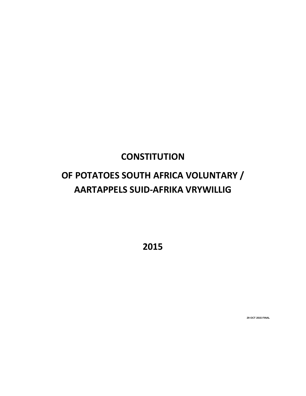# **CONSTITUTION**

# **OF POTATOES SOUTH AFRICA VOLUNTARY / AARTAPPELS SUID-AFRIKA VRYWILLIG**

**2015**

**29 OCT 2015 FINAL**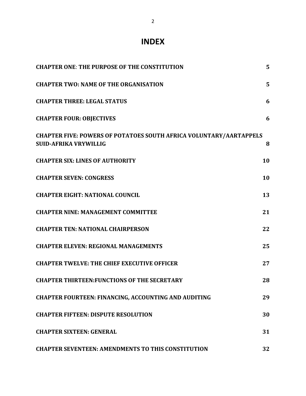# **INDEX**

| <b>CHAPTER ONE: THE PURPOSE OF THE CONSTITUTION</b>                                                       | 5  |
|-----------------------------------------------------------------------------------------------------------|----|
| <b>CHAPTER TWO: NAME OF THE ORGANISATION</b>                                                              | 5  |
| <b>CHAPTER THREE: LEGAL STATUS</b>                                                                        | 6  |
| <b>CHAPTER FOUR: OBJECTIVES</b>                                                                           | 6  |
| <b>CHAPTER FIVE: POWERS OF POTATOES SOUTH AFRICA VOLUNTARY/AARTAPPELS</b><br><b>SUID-AFRIKA VRYWILLIG</b> | 8  |
| <b>CHAPTER SIX: LINES OF AUTHORITY</b>                                                                    | 10 |
| <b>CHAPTER SEVEN: CONGRESS</b>                                                                            | 10 |
| <b>CHAPTER EIGHT: NATIONAL COUNCIL</b>                                                                    | 13 |
| <b>CHAPTER NINE: MANAGEMENT COMMITTEE</b>                                                                 | 21 |
| <b>CHAPTER TEN: NATIONAL CHAIRPERSON</b>                                                                  | 22 |
| <b>CHAPTER ELEVEN: REGIONAL MANAGEMENTS</b>                                                               | 25 |
| <b>CHAPTER TWELVE: THE CHIEF EXECUTIVE OFFICER</b>                                                        | 27 |
| <b>CHAPTER THIRTEEN: FUNCTIONS OF THE SECRETARY</b>                                                       | 28 |
| <b>CHAPTER FOURTEEN: FINANCING, ACCOUNTING AND AUDITING</b>                                               | 29 |
| <b>CHAPTER FIFTEEN: DISPUTE RESOLUTION</b>                                                                | 30 |
| <b>CHAPTER SIXTEEN: GENERAL</b>                                                                           | 31 |
| <b>CHAPTER SEVENTEEN: AMENDMENTS TO THIS CONSTITUTION</b>                                                 | 32 |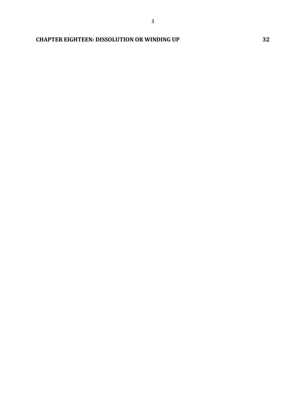3

## **CHAPTER EIGHTEEN: DISSOLUTION OR WINDING UP 32**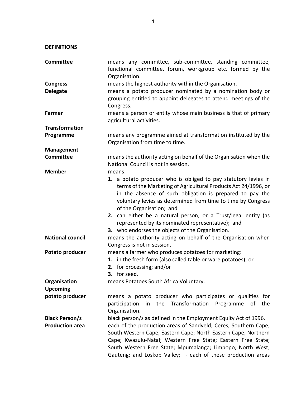**DEFINITIONS**

| <b>Committee</b>        | means any committee, sub-committee, standing committee,<br>functional committee, forum, workgroup etc. formed by the |
|-------------------------|----------------------------------------------------------------------------------------------------------------------|
|                         | Organisation.                                                                                                        |
| <b>Congress</b>         | means the highest authority within the Organisation.                                                                 |
| <b>Delegate</b>         | means a potato producer nominated by a nomination body or                                                            |
|                         | grouping entitled to appoint delegates to attend meetings of the                                                     |
|                         | Congress.                                                                                                            |
| Farmer                  | means a person or entity whose main business is that of primary                                                      |
|                         | agricultural activities.                                                                                             |
| <b>Transformation</b>   |                                                                                                                      |
| Programme               | means any programme aimed at transformation instituted by the                                                        |
|                         | Organisation from time to time.                                                                                      |
| <b>Management</b>       |                                                                                                                      |
| <b>Committee</b>        | means the authority acting on behalf of the Organisation when the                                                    |
|                         | National Council is not in session.                                                                                  |
| <b>Member</b>           | means:                                                                                                               |
|                         | 1. a potato producer who is obliged to pay statutory levies in                                                       |
|                         | terms of the Marketing of Agricultural Products Act 24/1996, or                                                      |
|                         | in the absence of such obligation is prepared to pay the                                                             |
|                         | voluntary levies as determined from time to time by Congress                                                         |
|                         | of the Organisation; and                                                                                             |
|                         | 2. can either be a natural person; or a Trust/legal entity (as                                                       |
|                         | represented by its nominated representative); and                                                                    |
|                         | 3. who endorses the objects of the Organisation.                                                                     |
| <b>National council</b> | means the authority acting on behalf of the Organisation when                                                        |
|                         | Congress is not in session.                                                                                          |
| Potato producer         | means a farmer who produces potatoes for marketing:                                                                  |
|                         | 1. in the fresh form (also called table or ware potatoes); or                                                        |
|                         | 2. for processing; and/or                                                                                            |
|                         | 3. for seed.                                                                                                         |
| Organisation            | means Potatoes South Africa Voluntary.                                                                               |
| <b>Upcoming</b>         |                                                                                                                      |
| potato producer         | means a potato producer who participates or qualifies for                                                            |
|                         | participation in the Transformation Programme of the                                                                 |
|                         | Organisation.                                                                                                        |
| <b>Black Person/s</b>   | black person/s as defined in the Employment Equity Act of 1996.                                                      |
| <b>Production area</b>  | each of the production areas of Sandveld; Ceres; Southern Cape;                                                      |
|                         | South Western Cape; Eastern Cape; North Eastern Cape; Northern                                                       |
|                         | Cape; Kwazulu-Natal; Western Free State; Eastern Free State;                                                         |
|                         | South Western Free State; Mpumalanga; Limpopo; North West;                                                           |
|                         | Gauteng; and Loskop Valley; - each of these production areas                                                         |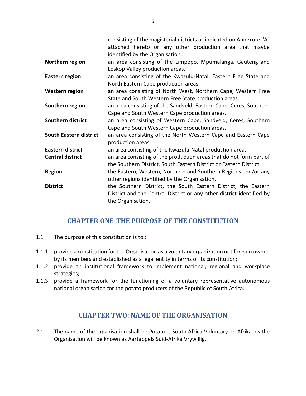|                               | consisting of the magisterial districts as indicated on Annexure "A"  |  |
|-------------------------------|-----------------------------------------------------------------------|--|
|                               | attached hereto or any other production area that maybe               |  |
|                               | identified by the Organisation.                                       |  |
| Northern region               | an area consisting of the Limpopo, Mpumalanga, Gauteng and            |  |
|                               | Loskop Valley production areas.                                       |  |
| <b>Eastern region</b>         | an area consisting of the Kwazulu-Natal, Eastern Free State and       |  |
|                               | North Eastern Cape production areas.                                  |  |
| Western region                | an area consisting of North West, Northern Cape, Western Free         |  |
|                               | State and South Western Free State production areas.                  |  |
| Southern region               | an area consisting of the Sandveld, Eastern Cape, Ceres, Southern     |  |
|                               | Cape and South Western Cape production areas.                         |  |
| Southern district             | an area consisting of Western Cape, Sandveld, Ceres, Southern         |  |
|                               | Cape and South Western Cape production areas.                         |  |
| <b>South Eastern district</b> | an area consisting of the North Western Cape and Eastern Cape         |  |
|                               | production areas.                                                     |  |
| Eastern district              | an area consisting of the Kwazulu-Natal production area.              |  |
| <b>Central district</b>       | an area consisting of the production areas that do not form part of   |  |
|                               | the Southern District, South Eastern District or Eastern District.    |  |
| <b>Region</b>                 | the Eastern, Western, Northern and Southern Regions and/or any        |  |
|                               | other regions identified by the Organisation.                         |  |
| <b>District</b>               | the Southern District, the South Eastern District, the Eastern        |  |
|                               | District and the Central District or any other district identified by |  |
|                               | the Organisation.                                                     |  |

## **CHAPTER ONE**: **THE PURPOSE OF THE CONSTITUTION**

- 1.1 The purpose of this constitution is to :
- 1.1.1 provide a constitution for the Organisation as a voluntary organization not for gain owned by its members and established as a legal entity in terms of its constitution;
- 1.1.2 provide an institutional framework to implement national, regional and workplace strategies;
- 1.1.3 provide a framework for the functioning of a voluntary representative autonomous national organisation for the potato producers of the Republic of South Africa.

## **CHAPTER TWO: NAME OF THE ORGANISATION**

2.1 The name of the organisation shall be Potatoes South Africa Voluntary. In Afrikaans the Organisation will be known as Aartappels Suid-Afrika Vrywillig.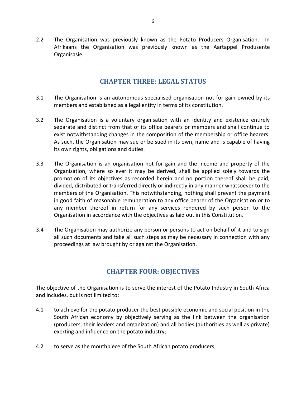2.2 The Organisation was previously known as the Potato Producers Organisation. In Afrikaans the Organisation was previously known as the Aartappel Produsente Organisasie.

## **CHAPTER THREE: LEGAL STATUS**

- 3.1 The Organisation is an autonomous specialised organisation not for gain owned by its members and established as a legal entity in terms of its constitution.
- 3.2 The Organisation is a voluntary organisation with an identity and existence entirely separate and distinct from that of its office bearers or members and shall continue to exist notwithstanding changes in the composition of the membership or office bearers. As such, the Organisation may sue or be sued in its own, name and is capable of having its own rights, obligations and duties.
- 3.3 The Organisation is an organisation not for gain and the income and property of the Organisation, where so ever it may be derived, shall be applied solely towards the promotion of its objectives as recorded herein and no portion thereof shall be paid, divided, distributed or transferred directly or indirectly in any manner whatsoever to the members of the Organisation. This notwithstanding, nothing shall prevent the payment in good faith of reasonable remuneration to any office bearer of the Organisation or to any member thereof in return for any services rendered by such person to the Organisation in accordance with the objectives as laid out in this Constitution.
- 3.4 The Organisation may authorize any person or persons to act on behalf of it and to sign all such documents and take all such steps as may be necessary in connection with any proceedings at law brought by or against the Organisation.

## **CHAPTER FOUR: OBJECTIVES**

The objective of the Organisation is to serve the interest of the Potato Industry in South Africa and includes, but is not limited to:

- 4.1 to achieve for the potato producer the best possible economic and social position in the South African economy by objectively serving as the link between the organisation (producers, their leaders and organization) and all bodies (authorities as well as private) exerting and influence on the potato industry;
- 4.2 to serve as the mouthpiece of the South African potato producers;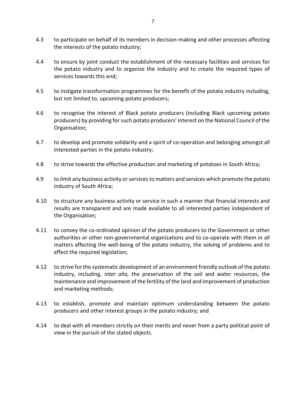- 4.3 to participate on behalf of its members in decision-making and other processes affecting the interests of the potato industry;
- 4.4 to ensure by joint conduct the establishment of the necessary facilities and services for the potato industry and to organize the industry and to create the required types of services towards this end;
- 4.5 to instigate transformation programmes for the benefit of the potato industry including, but not limited to, upcoming potato producers;
- 4.6 to recognise the interest of Black potato producers (including Black upcoming potato producers) by providing for such potato producers' interest on the National Council of the Organisation;
- 4.7 to develop and promote solidarity and a spirit of co-operation and belonging amongst all interested parties in the potato industry;
- 4.8 to strive towards the effective production and marketing of potatoes in South Africa;
- 4.9 to limit any business activity or services to matters and services which promote the potato industry of South Africa;
- 4.10 to structure any business activity or service in such a manner that financial interests and results are transparent and are made available to all interested parties independent of the Organisation;
- 4.11 to convey the co-ordinated opinion of the potato producers to the Government or other authorities or other non-governmental organizations and to co-operate with them in all matters affecting the well-being of the potato industry, the solving of problems and to effect the required legislation;
- 4.12 to strive for the systematic development of an environment friendly outlook of the potato industry, including, *inter alia,* the preservation of the soil and water resources, the maintenance and improvement of the fertility of the land and improvement of production and marketing methods;
- 4.13 to establish, promote and maintain optimum understanding between the potato producers and other interest groups in the potato industry; and
- 4.14 to deal with all members strictly on their merits and never from a party political point of view in the pursuit of the stated objects.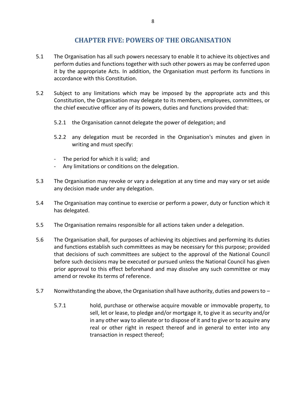## **CHAPTER FIVE: POWERS OF THE ORGANISATION**

- 5.1 The Organisation has all such powers necessary to enable it to achieve its objectives and perform duties and functions together with such other powers as may be conferred upon it by the appropriate Acts. In addition, the Organisation must perform its functions in accordance with this Constitution.
- 5.2 Subject to any limitations which may be imposed by the appropriate acts and this Constitution, the Organisation may delegate to its members, employees, committees, or the chief executive officer any of its powers, duties and functions provided that:
	- 5.2.1 the Organisation cannot delegate the power of delegation; and
	- 5.2.2 any delegation must be recorded in the Organisation's minutes and given in writing and must specify:
	- The period for which it is valid; and
	- Any limitations or conditions on the delegation.
- 5.3 The Organisation may revoke or vary a delegation at any time and may vary or set aside any decision made under any delegation.
- 5.4 The Organisation may continue to exercise or perform a power, duty or function which it has delegated.
- 5.5 The Organisation remains responsible for all actions taken under a delegation.
- 5.6 The Organisation shall, for purposes of achieving its objectives and performing its duties and functions establish such committees as may be necessary for this purpose; provided that decisions of such committees are subject to the approval of the National Council before such decisions may be executed or pursued unless the National Council has given prior approval to this effect beforehand and may dissolve any such committee or may amend or revoke its terms of reference.
- 5.7 Nonwithstanding the above, the Organisation shall have authority, duties and powers to
	- 5.7.1 hold, purchase or otherwise acquire movable or immovable property, to sell, let or lease, to pledge and/or mortgage it, to give it as security and/or in any other way to alienate or to dispose of it and to give or to acquire any real or other right in respect thereof and in general to enter into any transaction in respect thereof;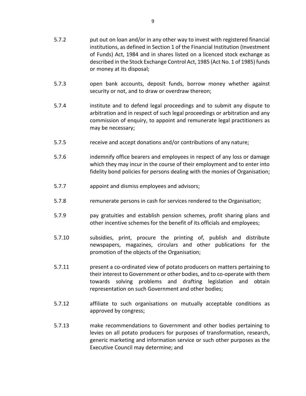- 5.7.2 put out on loan and/or in any other way to invest with registered financial institutions, as defined in Section 1 of the Financial Institution (Investment of Funds) Act, 1984 and in shares listed on a licenced stock exchange as described in the Stock Exchange Control Act, 1985 (Act No. 1 of 1985) funds or money at its disposal;
- 5.7.3 open bank accounts, deposit funds, borrow money whether against security or not, and to draw or overdraw thereon;
- 5.7.4 institute and to defend legal proceedings and to submit any dispute to arbitration and in respect of such legal proceedings or arbitration and any commission of enquiry, to appoint and remunerate legal practitioners as may be necessary;
- 5.7.5 receive and accept donations and/or contributions of any nature;
- 5.7.6 indemnify office bearers and employees in respect of any loss or damage which they may incur in the course of their employment and to enter into fidelity bond policies for persons dealing with the monies of Organisation;
- 5.7.7 appoint and dismiss employees and advisors;
- 5.7.8 remunerate persons in cash for services rendered to the Organisation;
- 5.7.9 pay gratuities and establish pension schemes, profit sharing plans and other incentive schemes for the benefit of its officials and employees;
- 5.7.10 subsidies, print, procure the printing of, publish and distribute newspapers, magazines, circulars and other publications for the promotion of the objects of the Organisation;
- 5.7.11 present a co-ordinated view of potato producers on matters pertaining to their interest to Government or other bodies, and to co-operate with them towards solving problems and drafting legislation and obtain representation on such Government and other bodies;
- 5.7.12 affiliate to such organisations on mutually acceptable conditions as approved by congress;
- 5.7.13 make recommendations to Government and other bodies pertaining to levies on all potato producers for purposes of transformation, research, generic marketing and information service or such other purposes as the Executive Council may determine; and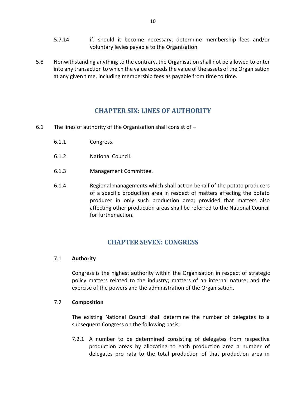- 5.7.14 if, should it become necessary, determine membership fees and/or voluntary levies payable to the Organisation.
- 5.8 Nonwithstanding anything to the contrary, the Organisation shall not be allowed to enter into any transaction to which the value exceeds the value of the assets of the Organisation at any given time, including membership fees as payable from time to time.

## **CHAPTER SIX: LINES OF AUTHORITY**

- 6.1 The lines of authority of the Organisation shall consist of
	- 6.1.1 Congress.
	- 6.1.2 National Council.
	- 6.1.3 Management Committee.
	- 6.1.4 Regional managements which shall act on behalf of the potato producers of a specific production area in respect of matters affecting the potato producer in only such production area; provided that matters also affecting other production areas shall be referred to the National Council for further action.

## **CHAPTER SEVEN: CONGRESS**

#### 7.1 **Authority**

Congress is the highest authority within the Organisation in respect of strategic policy matters related to the industry; matters of an internal nature; and the exercise of the powers and the administration of the Organisation.

#### 7.2 **Composition**

The existing National Council shall determine the number of delegates to a subsequent Congress on the following basis:

7.2.1 A number to be determined consisting of delegates from respective production areas by allocating to each production area a number of delegates pro rata to the total production of that production area in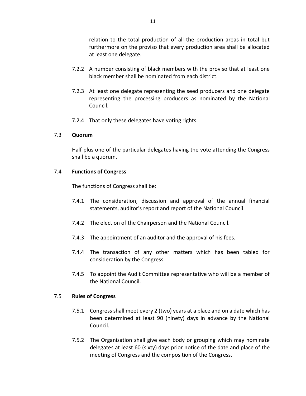relation to the total production of all the production areas in total but furthermore on the proviso that every production area shall be allocated at least one delegate.

- 7.2.2 A number consisting of black members with the proviso that at least one black member shall be nominated from each district.
- 7.2.3 At least one delegate representing the seed producers and one delegate representing the processing producers as nominated by the National Council.
- 7.2.4 That only these delegates have voting rights.

#### 7.3 **Quorum**

Half plus one of the particular delegates having the vote attending the Congress shall be a quorum.

#### 7.4 **Functions of Congress**

The functions of Congress shall be:

- 7.4.1 The consideration, discussion and approval of the annual financial statements, auditor's report and report of the National Council.
- 7.4.2 The election of the Chairperson and the National Council.
- 7.4.3 The appointment of an auditor and the approval of his fees.
- 7.4.4 The transaction of any other matters which has been tabled for consideration by the Congress.
- 7.4.5 To appoint the Audit Committee representative who will be a member of the National Council.

#### 7.5 **Rules of Congress**

- 7.5.1 Congress shall meet every 2 (two) years at a place and on a date which has been determined at least 90 (ninety) days in advance by the National Council.
- 7.5.2 The Organisation shall give each body or grouping which may nominate delegates at least 60 (sixty) days prior notice of the date and place of the meeting of Congress and the composition of the Congress.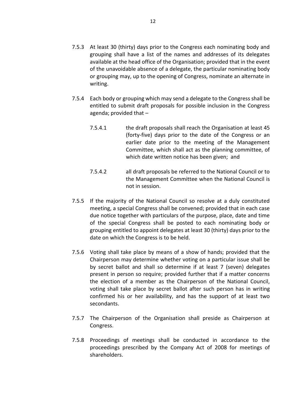- 7.5.3 At least 30 (thirty) days prior to the Congress each nominating body and grouping shall have a list of the names and addresses of its delegates available at the head office of the Organisation; provided that in the event of the unavoidable absence of a delegate, the particular nominating body or grouping may, up to the opening of Congress, nominate an alternate in writing.
- 7.5.4 Each body or grouping which may send a delegate to the Congress shall be entitled to submit draft proposals for possible inclusion in the Congress agenda; provided that –
	- 7.5.4.1 the draft proposals shall reach the Organisation at least 45 (forty-five) days prior to the date of the Congress or an earlier date prior to the meeting of the Management Committee, which shall act as the planning committee, of which date written notice has been given; and
	- 7.5.4.2 all draft proposals be referred to the National Council or to the Management Committee when the National Council is not in session.
- 7.5.5 If the majority of the National Council so resolve at a duly constituted meeting, a special Congress shall be convened; provided that in each case due notice together with particulars of the purpose, place, date and time of the special Congress shall be posted to each nominating body or grouping entitled to appoint delegates at least 30 (thirty) days prior to the date on which the Congress is to be held.
- 7.5.6 Voting shall take place by means of a show of hands; provided that the Chairperson may determine whether voting on a particular issue shall be by secret ballot and shall so determine if at least 7 (seven) delegates present in person so require; provided further that if a matter concerns the election of a member as the Chairperson of the National Council, voting shall take place by secret ballot after such person has in writing confirmed his or her availability, and has the support of at least two secondants.
- 7.5.7 The Chairperson of the Organisation shall preside as Chairperson at Congress.
- 7.5.8 Proceedings of meetings shall be conducted in accordance to the proceedings prescribed by the Company Act of 2008 for meetings of shareholders.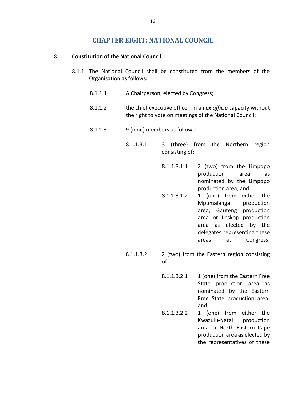## **CHAPTER EIGHT: NATIONAL COUNCIL**

#### 8.1 **Constitution of the National Council:**

- 8.1.1 The National Council shall be constituted from the members of the Organisation as follows:
	- 8.1.1.1 A Chairperson, elected by Congress;
	- 8.1.1.2 the chief executive officer, in an *ex officio* capacity without the right to vote on meetings of the National Council;
	- 8.1.1.3 9 (nine) members as follows:
		- 8.1.1.3.1 3 (three) from the Northern region consisting of:
			- $8.1.1.3.1.1$  2 (two) from the Limpopo production area as nominated by the Limpopo production area; and
			- 8.1.1.3.1.2 1 (one) from either the Mpumalanga production area, Gauteng production area or Loskop production area as elected by the delegates representing these areas at Congress;
		- 8.1.1.3.2 2 (two) from the Eastern region consisting of:
			- $8.1.1.3.2.1$  1 (one) from the Eastern Free State production area as nominated by the Eastern Free State production area; and
			- 8.1.1.3.2.2 1 (one) from either the Kwazulu-Natal production area or North Eastern Cape production area as elected by the representatives of these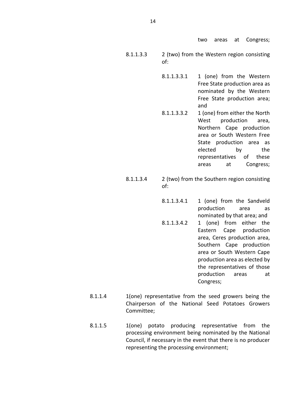two areas at Congress;

- 8.1.1.3.3 2 (two) from the Western region consisting of:
	- 8.1.1.3.3.1 1 (one) from the Western Free State production area as nominated by the Western Free State production area; and
	- 8.1.1.3.3.2 1 (one) from either the North West production area, Northern Cape production area or South Western Free State production area as elected by the representatives of these areas at Congress;
- 8.1.1.3.4 2 (two) from the Southern region consisting of:
	- $8.1.1.3.4.1$  1 (one) from the Sandveld production area as nominated by that area; and
	- 8.1.1.3.4.2 1 (one) from either the Eastern Cape production area, Ceres production area, Southern Cape production area or South Western Cape production area as elected by the representatives of those production areas at Congress;
- 8.1.1.4 1(one) representative from the seed growers being the Chairperson of the National Seed Potatoes Growers Committee;
- 8.1.1.5 1(one) potato producing representative from the processing environment being nominated by the National Council, if necessary in the event that there is no producer representing the processing environment;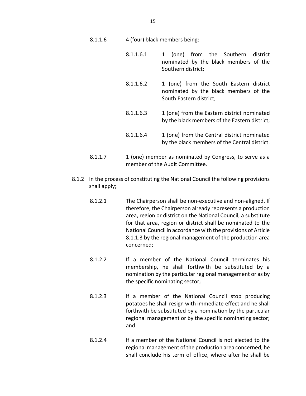- 8.1.1.6 4 (four) black members being:
	- 8.1.1.6.1 1 (one) from the Southern district nominated by the black members of the Southern district;
	- 8.1.1.6.2 1 (one) from the South Eastern district nominated by the black members of the South Eastern district;
	- 8.1.1.6.3 1 (one) from the Eastern district nominated by the black members of the Eastern district;
	- 8.1.1.6.4 1 (one) from the Central district nominated by the black members of the Central district.
- 8.1.1.7 1 (one) member as nominated by Congress, to serve as a member of the Audit Committee.
- 8.1.2 In the process of constituting the National Council the following provisions shall apply;
	- 8.1.2.1 The Chairperson shall be non-executive and non-aligned. If therefore, the Chairperson already represents a production area, region or district on the National Council, a substitute for that area, region or district shall be nominated to the National Council in accordance with the provisions of Article 8.1.1.3 by the regional management of the production area concerned;
	- 8.1.2.2 If a member of the National Council terminates his membership, he shall forthwith be substituted by a nomination by the particular regional management or as by the specific nominating sector;
	- 8.1.2.3 If a member of the National Council stop producing potatoes he shall resign with immediate effect and he shall forthwith be substituted by a nomination by the particular regional management or by the specific nominating sector; and
	- 8.1.2.4 If a member of the National Council is not elected to the regional management of the production area concerned, he shall conclude his term of office, where after he shall be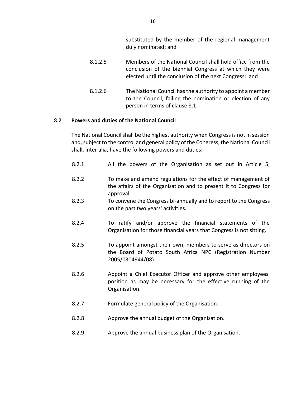substituted by the member of the regional management duly nominated; and

- 8.1.2.5 Members of the National Council shall hold office from the conclusion of the biennial Congress at which they were elected until the conclusion of the next Congress; and
- 8.1.2.6 The National Council has the authority to appoint a member to the Council, failing the nomination or election of any person in terms of clause 8.1.

#### 8.2 **Powers and duties of the National Council**

The National Council shall be the highest authority when Congress is not in session and, subject to the control and general policy of the Congress, the National Council shall, inter alia, have the following powers and duties:

- 8.2.1 All the powers of the Organisation as set out in Article 5;
- 8.2.2 To make and amend regulations for the effect of management of the affairs of the Organisation and to present it to Congress for approval.
- 8.2.3 To convene the Congress bi-annually and to report to the Congress on the past two years' activities.
- 8.2.4 To ratify and/or approve the financial statements of the Organisation for those financial years that Congress is not sitting.
- 8.2.5 To appoint amongst their own, members to serve as directors on the Board of Potato South Africa NPC (Registration Number 2005/0304944/08).
- 8.2.6 Appoint a Chief Executor Officer and approve other employees' position as may be necessary for the effective running of the Organisation.
- 8.2.7 Formulate general policy of the Organisation.
- 8.2.8 Approve the annual budget of the Organisation.
- 8.2.9 Approve the annual business plan of the Organisation.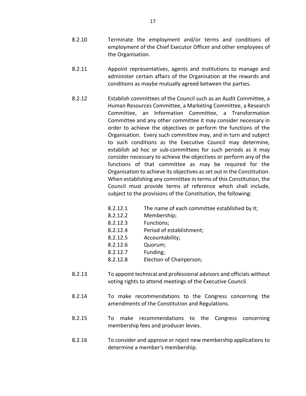- 8.2.10 Terminate the employment and/or terms and conditions of employment of the Chief Executor Officer and other employees of the Organisation.
- 8.2.11 Appoint representatives, agents and institutions to manage and administer certain affairs of the Organisation at the rewards and conditions as maybe mutually agreed between the parties.
- 8.2.12 Establish committees of the Council such as an Audit Committee, a Human Resources Committee, a Marketing Committee, a Research Committee, an Information Committee, a Transformation Committee and any other committee it may consider necessary in order to achieve the objectives or perform the functions of the Organisation. Every such committee may, and in turn and subject to such conditions as the Executive Council may determine, establish ad hoc or sub-committees for such periods as it may consider necessary to achieve the objectives or perform any of the functions of that committee as may be required for the Organisation to achieve its objectives as set out in the Constitution. When establishing any committee in terms of this Constitution, the Council must provide terms of reference which shall include, subject to the provisions of the Constitution, the following:
	- 8.2.12.1 The name of each committee established by it;
	- 8.2.12.2 Membership;
	- 8.2.12.3 Functions;
	- 8.2.12.4 Period of establishment;
	- 8.2.12.5 Accountability;
	- 8.2.12.6 Quorum;
	- 8.2.12.7 Funding;
	- 8.2.12.8 Election of Chairperson;
- 8.2.13 To appoint technical and professional advisors and officials without voting rights to attend meetings of the Executive Council.
- 8.2.14 To make recommendations to the Congress concerning the amendments of the Constitution and Regulations.
- 8.2.15 To make recommendations to the Congress concerning membership fees and producer levies.
- 8.2.16 To consider and approve or reject new membership applications to determine a member's membership.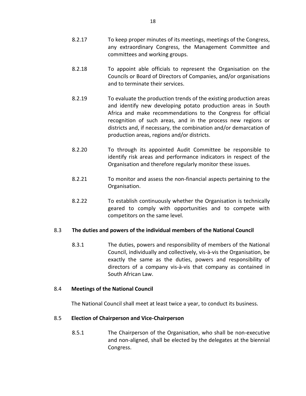- 8.2.17 To keep proper minutes of its meetings, meetings of the Congress, any extraordinary Congress, the Management Committee and committees and working groups.
- 8.2.18 To appoint able officials to represent the Organisation on the Councils or Board of Directors of Companies, and/or organisations and to terminate their services.
- 8.2.19 To evaluate the production trends of the existing production areas and identify new developing potato production areas in South Africa and make recommendations to the Congress for official recognition of such areas, and in the process new regions or districts and, if necessary, the combination and/or demarcation of production areas, regions and/or districts.
- 8.2.20 To through its appointed Audit Committee be responsible to identify risk areas and performance indicators in respect of the Organisation and therefore regularly monitor these issues.
- 8.2.21 To monitor and assess the non-financial aspects pertaining to the Organisation.
- 8.2.22 To establish continuously whether the Organisation is technically geared to comply with opportunities and to compete with competitors on the same level.

### 8.3 **The duties and powers of the individual members of the National Council**

8.3.1 The duties, powers and responsibility of members of the National Council, individually and collectively, vis-à-vis the Organisation, be exactly the same as the duties, powers and responsibility of directors of a company vis-à-vis that company as contained in South African Law.

#### 8.4 **Meetings of the National Council**

The National Council shall meet at least twice a year, to conduct its business.

### 8.5 **Election of Chairperson and Vice-Chairperson**

8.5.1 The Chairperson of the Organisation, who shall be non-executive and non-aligned, shall be elected by the delegates at the biennial Congress.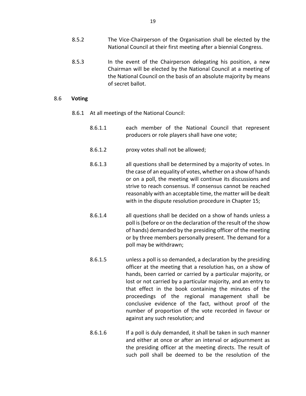- 8.5.2 The Vice-Chairperson of the Organisation shall be elected by the National Council at their first meeting after a biennial Congress.
- 8.5.3 In the event of the Chairperson delegating his position, a new Chairman will be elected by the National Council at a meeting of the National Council on the basis of an absolute majority by means of secret ballot.

#### 8.6 **Voting**

- 8.6.1 At all meetings of the National Council:
	- 8.6.1.1 each member of the National Council that represent producers or role players shall have one vote;
	- 8.6.1.2 proxy votes shall not be allowed;
	- 8.6.1.3 all questions shall be determined by a majority of votes. In the case of an equality of votes, whether on a show of hands or on a poll, the meeting will continue its discussions and strive to reach consensus. If consensus cannot be reached reasonably with an acceptable time, the matter will be dealt with in the dispute resolution procedure in Chapter 15;
	- 8.6.1.4 all questions shall be decided on a show of hands unless a poll is (before or on the declaration of the result of the show of hands) demanded by the presiding officer of the meeting or by three members personally present. The demand for a poll may be withdrawn;
	- 8.6.1.5 unless a poll is so demanded, a declaration by the presiding officer at the meeting that a resolution has, on a show of hands, been carried or carried by a particular majority, or lost or not carried by a particular majority, and an entry to that effect in the book containing the minutes of the proceedings of the regional management shall be conclusive evidence of the fact, without proof of the number of proportion of the vote recorded in favour or against any such resolution; and
	- 8.6.1.6 If a poll is duly demanded, it shall be taken in such manner and either at once or after an interval or adjournment as the presiding officer at the meeting directs. The result of such poll shall be deemed to be the resolution of the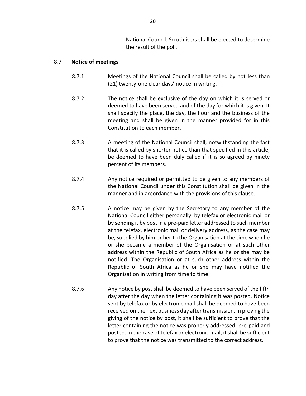National Council. Scrutinisers shall be elected to determine the result of the poll.

#### 8.7 **Notice of meetings**

- 8.7.1 Meetings of the National Council shall be called by not less than (21) twenty-one clear days' notice in writing.
- 8.7.2 The notice shall be exclusive of the day on which it is served or deemed to have been served and of the day for which it is given. It shall specify the place, the day, the hour and the business of the meeting and shall be given in the manner provided for in this Constitution to each member.
- 8.7.3 A meeting of the National Council shall, notwithstanding the fact that it is called by shorter notice than that specified in this article, be deemed to have been duly called if it is so agreed by ninety percent of its members.
- 8.7.4 Any notice required or permitted to be given to any members of the National Council under this Constitution shall be given in the manner and in accordance with the provisions of this clause.
- 8.7.5 A notice may be given by the Secretary to any member of the National Council either personally, by telefax or electronic mail or by sending it by post in a pre-paid letter addressed to such member at the telefax, electronic mail or delivery address, as the case may be, supplied by him or her to the Organisation at the time when he or she became a member of the Organisation or at such other address within the Republic of South Africa as he or she may be notified. The Organisation or at such other address within the Republic of South Africa as he or she may have notified the Organisation in writing from time to time.
- 8.7.6 Any notice by post shall be deemed to have been served of the fifth day after the day when the letter containing it was posted. Notice sent by telefax or by electronic mail shall be deemed to have been received on the next business day after transmission. In proving the giving of the notice by post, it shall be sufficient to prove that the letter containing the notice was properly addressed, pre-paid and posted. In the case of telefax or electronic mail, it shall be sufficient to prove that the notice was transmitted to the correct address.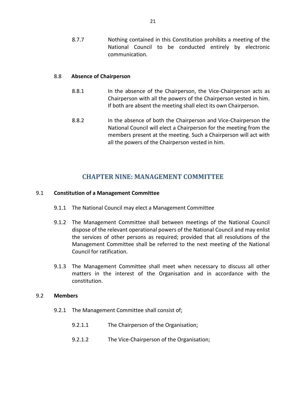8.7.7 Nothing contained in this Constitution prohibits a meeting of the National Council to be conducted entirely by electronic communication.

#### 8.8 **Absence of Chairperson**

- 8.8.1 In the absence of the Chairperson, the Vice-Chairperson acts as Chairperson with all the powers of the Chairperson vested in him. If both are absent the meeting shall elect its own Chairperson.
- 8.8.2 In the absence of both the Chairperson and Vice-Chairperson the National Council will elect a Chairperson for the meeting from the members present at the meeting. Such a Chairperson will act with all the powers of the Chairperson vested in him.

## **CHAPTER NINE: MANAGEMENT COMMITTEE**

#### 9.1 **Constitution of a Management Committee**

- 9.1.1 The National Council may elect a Management Committee
- 9.1.2 The Management Committee shall between meetings of the National Council dispose of the relevant operational powers of the National Council and may enlist the services of other persons as required; provided that all resolutions of the Management Committee shall be referred to the next meeting of the National Council for ratification.
- 9.1.3 The Management Committee shall meet when necessary to discuss all other matters in the interest of the Organisation and in accordance with the constitution.

#### 9.2 **Members**

- 9.2.1 The Management Committee shall consist of;
	- 9.2.1.1 The Chairperson of the Organisation;
	- 9.2.1.2 The Vice-Chairperson of the Organisation;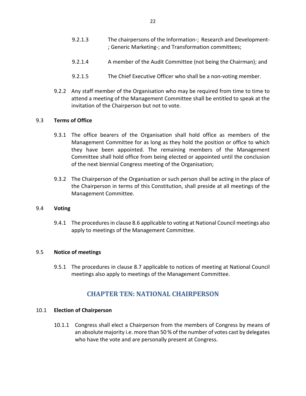- 9.2.1.3 The chairpersons of the Information-; Research and Development- ; Generic Marketing-; and Transformation committees;
- 9.2.1.4 A member of the Audit Committee (not being the Chairman); and
- 9.2.1.5 The Chief Executive Officer who shall be a non-voting member.
- 9.2.2 Any staff member of the Organisation who may be required from time to time to attend a meeting of the Management Committee shall be entitled to speak at the invitation of the Chairperson but not to vote.

#### 9.3 **Terms of Office**

- 9.3.1 The office bearers of the Organisation shall hold office as members of the Management Committee for as long as they hold the position or office to which they have been appointed. The remaining members of the Management Committee shall hold office from being elected or appointed until the conclusion of the next biennial Congress meeting of the Organisation;
- 9.3.2 The Chairperson of the Organisation or such person shall be acting in the place of the Chairperson in terms of this Constitution, shall preside at all meetings of the Management Committee.

#### 9.4 **Voting**

9.4.1 The procedures in clause 8.6 applicable to voting at National Council meetings also apply to meetings of the Management Committee.

#### 9.5 **Notice of meetings**

9.5.1 The procedures in clause 8.7 applicable to notices of meeting at National Council meetings also apply to meetings of the Management Committee.

## **CHAPTER TEN: NATIONAL CHAIRPERSON**

#### 10.1 **Election of Chairperson**

10.1.1 Congress shall elect a Chairperson from the members of Congress by means of an absolute majority i.e. more than 50 % of the number of votes cast by delegates who have the vote and are personally present at Congress.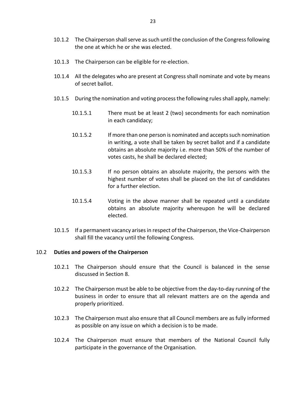- 10.1.2 The Chairperson shall serve as such until the conclusion of the Congress following the one at which he or she was elected.
- 10.1.3 The Chairperson can be eligible for re-election.
- 10.1.4 All the delegates who are present at Congress shall nominate and vote by means of secret ballot.
- 10.1.5 During the nomination and voting process the following rules shall apply, namely:
	- 10.1.5.1 There must be at least 2 (two) secondments for each nomination in each candidacy;
	- 10.1.5.2 If more than one person is nominated and accepts such nomination in writing, a vote shall be taken by secret ballot and if a candidate obtains an absolute majority i.e. more than 50% of the number of votes casts, he shall be declared elected;
	- 10.1.5.3 If no person obtains an absolute majority, the persons with the highest number of votes shall be placed on the list of candidates for a further election.
	- 10.1.5.4 Voting in the above manner shall be repeated until a candidate obtains an absolute majority whereupon he will be declared elected.
- 10.1.5 If a permanent vacancy arises in respect of the Chairperson, the Vice-Chairperson shall fill the vacancy until the following Congress.

#### 10.2 **Duties and powers of the Chairperson**

- 10.2.1 The Chairperson should ensure that the Council is balanced in the sense discussed in Section 8.
- 10.2.2 The Chairperson must be able to be objective from the day-to-day running of the business in order to ensure that all relevant matters are on the agenda and properly prioritized.
- 10.2.3 The Chairperson must also ensure that all Council members are as fully informed as possible on any issue on which a decision is to be made.
- 10.2.4 The Chairperson must ensure that members of the National Council fully participate in the governance of the Organisation.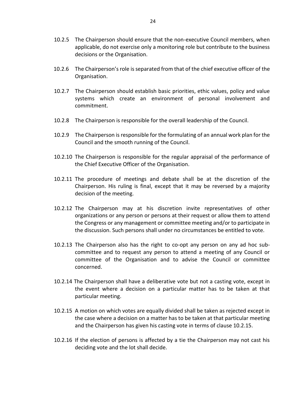- 10.2.5 The Chairperson should ensure that the non-executive Council members, when applicable, do not exercise only a monitoring role but contribute to the business decisions or the Organisation.
- 10.2.6 The Chairperson's role is separated from that of the chief executive officer of the Organisation.
- 10.2.7 The Chairperson should establish basic priorities, ethic values, policy and value systems which create an environment of personal involvement and commitment.
- 10.2.8 The Chairperson is responsible for the overall leadership of the Council.
- 10.2.9 The Chairperson is responsible for the formulating of an annual work plan for the Council and the smooth running of the Council.
- 10.2.10 The Chairperson is responsible for the regular appraisal of the performance of the Chief Executive Officer of the Organisation.
- 10.2.11 The procedure of meetings and debate shall be at the discretion of the Chairperson. His ruling is final, except that it may be reversed by a majority decision of the meeting.
- 10.2.12 The Chairperson may at his discretion invite representatives of other organizations or any person or persons at their request or allow them to attend the Congress or any management or committee meeting and/or to participate in the discussion. Such persons shall under no circumstances be entitled to vote.
- 10.2.13 The Chairperson also has the right to co-opt any person on any ad hoc subcommittee and to request any person to attend a meeting of any Council or committee of the Organisation and to advise the Council or committee concerned.
- 10.2.14 The Chairperson shall have a deliberative vote but not a casting vote, except in the event where a decision on a particular matter has to be taken at that particular meeting.
- 10.2.15 A motion on which votes are equally divided shall be taken as rejected except in the case where a decision on a matter has to be taken at that particular meeting and the Chairperson has given his casting vote in terms of clause 10.2.15.
- 10.2.16 If the election of persons is affected by a tie the Chairperson may not cast his deciding vote and the lot shall decide.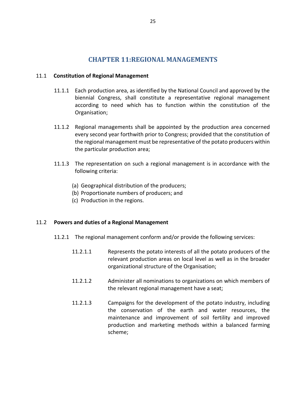## **CHAPTER 11:REGIONAL MANAGEMENTS**

#### 11.1 **Constitution of Regional Management**

- 11.1.1 Each production area, as identified by the National Council and approved by the biennial Congress, shall constitute a representative regional management according to need which has to function within the constitution of the Organisation;
- 11.1.2 Regional managements shall be appointed by the production area concerned every second year forthwith prior to Congress; provided that the constitution of the regional management must be representative of the potato producers within the particular production area;
- 11.1.3 The representation on such a regional management is in accordance with the following criteria:
	- (a) Geographical distribution of the producers;
	- (b) Proportionate numbers of producers; and
	- (c) Production in the regions.

#### 11.2 **Powers and duties of a Regional Management**

- 11.2.1 The regional management conform and/or provide the following services:
	- 11.2.1.1 Represents the potato interests of all the potato producers of the relevant production areas on local level as well as in the broader organizational structure of the Organisation;
	- 11.2.1.2 Administer all nominations to organizations on which members of the relevant regional management have a seat;
	- 11.2.1.3 Campaigns for the development of the potato industry, including the conservation of the earth and water resources, the maintenance and improvement of soil fertility and improved production and marketing methods within a balanced farming scheme;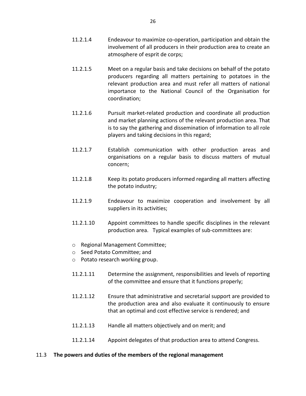- 11.2.1.4 Endeavour to maximize co-operation, participation and obtain the involvement of all producers in their production area to create an atmosphere of esprit de corps;
- 11.2.1.5 Meet on a regular basis and take decisions on behalf of the potato producers regarding all matters pertaining to potatoes in the relevant production area and must refer all matters of national importance to the National Council of the Organisation for coordination;
- 11.2.1.6 Pursuit market-related production and coordinate all production and market planning actions of the relevant production area. That is to say the gathering and dissemination of information to all role players and taking decisions in this regard;
- 11.2.1.7 Establish communication with other production areas and organisations on a regular basis to discuss matters of mutual concern;
- 11.2.1.8 Keep its potato producers informed regarding all matters affecting the potato industry;
- 11.2.1.9 Endeavour to maximize cooperation and involvement by all suppliers in its activities;
- 11.2.1.10 Appoint committees to handle specific disciplines in the relevant production area. Typical examples of sub-committees are:
- o Regional Management Committee;
- o Seed Potato Committee; and
- o Potato research working group.
- 11.2.1.11 Determine the assignment, responsibilities and levels of reporting of the committee and ensure that it functions properly;
- 11.2.1.12 Ensure that administrative and secretarial support are provided to the production area and also evaluate it continuously to ensure that an optimal and cost effective service is rendered; and
- 11.2.1.13 Handle all matters objectively and on merit; and
- 11.2.1.14 Appoint delegates of that production area to attend Congress.

#### 11.3 **The powers and duties of the members of the regional management**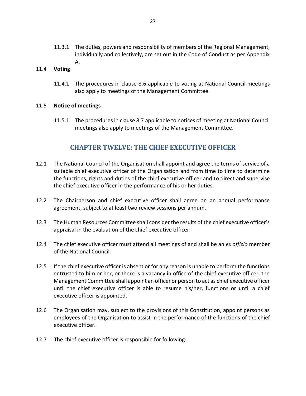11.3.1 The duties, powers and responsibility of members of the Regional Management, individually and collectively, are set out in the Code of Conduct as per Appendix A.

#### 11.4 **Voting**

11.4.1 The procedures in clause 8.6 applicable to voting at National Council meetings also apply to meetings of the Management Committee.

#### 11.5 **Notice of meetings**

11.5.1 The procedures in clause 8.7 applicable to notices of meeting at National Council meetings also apply to meetings of the Management Committee.

## **CHAPTER TWELVE: THE CHIEF EXECUTIVE OFFICER**

- 12.1 The National Council of the Organisation shall appoint and agree the terms of service of a suitable chief executive officer of the Organisation and from time to time to determine the functions, rights and duties of the chief executive officer and to direct and supervise the chief executive officer in the performance of his or her duties.
- 12.2 The Chairperson and chief executive officer shall agree on an annual performance agreement, subject to at least two review sessions per annum.
- 12.3 The Human Resources Committee shall consider the results of the chief executive officer's appraisal in the evaluation of the chief executive officer.
- 12.4 The chief executive officer must attend all meetings of and shall be an *ex officio* member of the National Council.
- 12.5 If the chief executive officer is absent or for any reason is unable to perform the functions entrusted to him or her, or there is a vacancy in office of the chief executive officer, the Management Committee shall appoint an officer or person to act as chief executive officer until the chief executive officer is able to resume his/her, functions or until a chief executive officer is appointed.
- 12.6 The Organisation may, subject to the provisions of this Constitution, appoint persons as employees of the Organisation to assist in the performance of the functions of the chief executive officer.
- 12.7 The chief executive officer is responsible for following: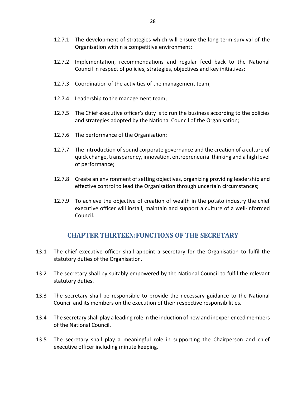- 12.7.1 The development of strategies which will ensure the long term survival of the Organisation within a competitive environment;
- 12.7.2 Implementation, recommendations and regular feed back to the National Council in respect of policies, strategies, objectives and key initiatives;
- 12.7.3 Coordination of the activities of the management team;
- 12.7.4 Leadership to the management team;
- 12.7.5 The Chief executive officer's duty is to run the business according to the policies and strategies adopted by the National Council of the Organisation;
- 12.7.6 The performance of the Organisation;
- 12.7.7 The introduction of sound corporate governance and the creation of a culture of quick change, transparency, innovation, entrepreneurial thinking and a high level of performance;
- 12.7.8 Create an environment of setting objectives, organizing providing leadership and effective control to lead the Organisation through uncertain circumstances;
- 12.7.9 To achieve the objective of creation of wealth in the potato industry the chief executive officer will install, maintain and support a culture of a well-informed Council.

## **CHAPTER THIRTEEN:FUNCTIONS OF THE SECRETARY**

- 13.1 The chief executive officer shall appoint a secretary for the Organisation to fulfil the statutory duties of the Organisation.
- 13.2 The secretary shall by suitably empowered by the National Council to fulfil the relevant statutory duties.
- 13.3 The secretary shall be responsible to provide the necessary guidance to the National Council and its members on the execution of their respective responsibilities.
- 13.4 The secretary shall play a leading role in the induction of new and inexperienced members of the National Council.
- 13.5 The secretary shall play a meaningful role in supporting the Chairperson and chief executive officer including minute keeping.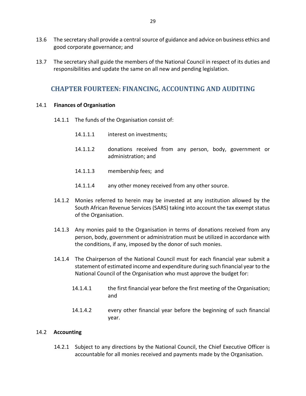- 13.6 The secretary shall provide a central source of guidance and advice on business ethics and good corporate governance; and
- 13.7 The secretary shall guide the members of the National Council in respect of its duties and responsibilities and update the same on all new and pending legislation.

## **CHAPTER FOURTEEN: FINANCING, ACCOUNTING AND AUDITING**

#### 14.1 **Finances of Organisation**

- 14.1.1 The funds of the Organisation consist of:
	- 14.1.1.1 interest on investments;
	- 14.1.1.2 donations received from any person, body, government or administration; and
	- 14.1.1.3 membership fees; and
	- 14.1.1.4 any other money received from any other source.
- 14.1.2 Monies referred to herein may be invested at any institution allowed by the South African Revenue Services (SARS) taking into account the tax exempt status of the Organisation.
- 14.1.3 Any monies paid to the Organisation in terms of donations received from any person, body, government or administration must be utilized in accordance with the conditions, if any, imposed by the donor of such monies.
- 14.1.4 The Chairperson of the National Council must for each financial year submit a statement of estimated income and expenditure during such financial year to the National Council of the Organisation who must approve the budget for:
	- 14.1.4.1 the first financial year before the first meeting of the Organisation; and
	- 14.1.4.2 every other financial year before the beginning of such financial year.

#### 14.2 **Accounting**

14.2.1 Subject to any directions by the National Council, the Chief Executive Officer is accountable for all monies received and payments made by the Organisation.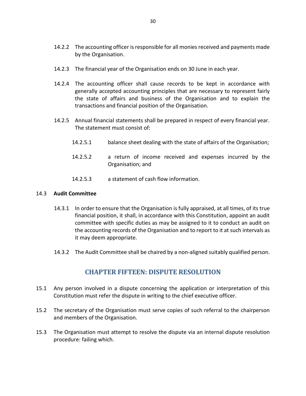- 14.2.2 The accounting officer is responsible for all monies received and payments made by the Organisation.
- 14.2.3 The financial year of the Organisation ends on 30 June in each year.
- 14.2.4 The accounting officer shall cause records to be kept in accordance with generally accepted accounting principles that are necessary to represent fairly the state of affairs and business of the Organisation and to explain the transactions and financial position of the Organisation.
- 14.2.5 Annual financial statements shall be prepared in respect of every financial year. The statement must consist of:
	- 14.2.5.1 balance sheet dealing with the state of affairs of the Organisation;
	- 14.2.5.2 a return of income received and expenses incurred by the Organisation; and
	- 14.2.5.3 a statement of cash flow information.

#### 14.3 **Audit Committee**

- 14.3.1 In order to ensure that the Organisation is fully appraised, at all times, of its true financial position, it shall, in accordance with this Constitution, appoint an audit committee with specific duties as may be assigned to it to conduct an audit on the accounting records of the Organisation and to report to it at such intervals as it may deem appropriate.
- 14.3.2 The Audit Committee shall be chaired by a non-aligned suitably qualified person.

## **CHAPTER FIFTEEN: DISPUTE RESOLUTION**

- 15.1 Any person involved in a dispute concerning the application or interpretation of this Constitution must refer the dispute in writing to the chief executive officer.
- 15.2 The secretary of the Organisation must serve copies of such referral to the chairperson and members of the Organisation.
- 15.3 The Organisation must attempt to resolve the dispute via an internal dispute resolution procedure: failing which.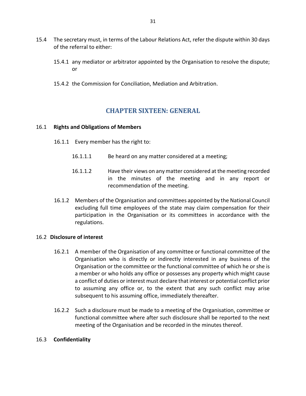- 15.4 The secretary must, in terms of the Labour Relations Act, refer the dispute within 30 days of the referral to either:
	- 15.4.1 any mediator or arbitrator appointed by the Organisation to resolve the dispute; or
	- 15.4.2 the Commission for Conciliation, Mediation and Arbitration.

## **CHAPTER SIXTEEN: GENERAL**

#### 16.1 **Rights and Obligations of Members**

- 16.1.1 Every member has the right to:
	- 16.1.1.1 Be heard on any matter considered at a meeting;
	- 16.1.1.2 Have their views on any matter considered at the meeting recorded in the minutes of the meeting and in any report or recommendation of the meeting.
- 16.1.2 Members of the Organisation and committees appointed by the National Council excluding full time employees of the state may claim compensation for their participation in the Organisation or its committees in accordance with the regulations.

#### 16.2 **Disclosure of interest**

- 16.2.1 A member of the Organisation of any committee or functional committee of the Organisation who is directly or indirectly interested in any business of the Organisation or the committee or the functional committee of which he or she is a member or who holds any office or possesses any property which might cause a conflict of duties or interest must declare that interest or potential conflict prior to assuming any office or, to the extent that any such conflict may arise subsequent to his assuming office, immediately thereafter.
- 16.2.2 Such a disclosure must be made to a meeting of the Organisation, committee or functional committee where after such disclosure shall be reported to the next meeting of the Organisation and be recorded in the minutes thereof.

#### 16.3 **Confidentiality**